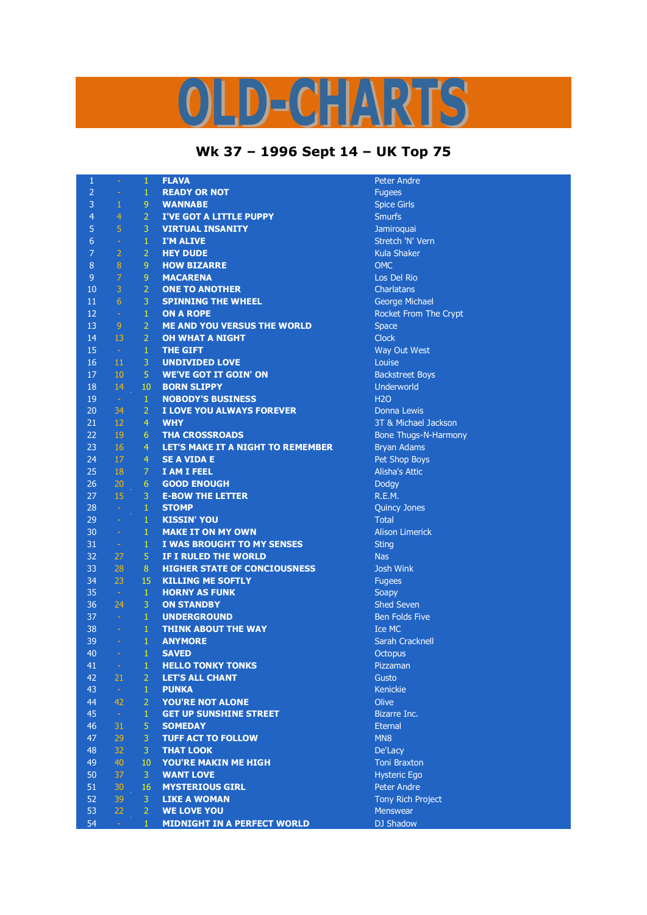## LD-CHARTS

## **Wk 37 – 1996 Sept 14 – UK Top 75**

| 1                |                | 1              | <b>FLAVA</b>                        | <b>Peter Andre</b>          |
|------------------|----------------|----------------|-------------------------------------|-----------------------------|
| $\overline{2}$   | $\equiv$       | $\mathbf{1}$   | <b>READY OR NOT</b>                 | <b>Fugees</b>               |
| $\overline{3}$   | $\mathbf{1}$   | 9              | <b>WANNABE</b>                      | <b>Spice Girls</b>          |
| $\overline{4}$   | 4              | $\overline{2}$ | <b>I'VE GOT A LITTLE PUPPY</b>      | <b>Smurfs</b>               |
| 5                | 5              | 3              | <b>VIRTUAL INSANITY</b>             | Jamiroquai                  |
| $\boldsymbol{6}$ | ÷              | $\mathbf{1}$   | <b>I'M ALIVE</b>                    | Stretch 'N' Vern            |
| $\overline{7}$   | $\overline{2}$ | $\overline{2}$ | <b>HEY DUDE</b>                     | <b>Kula Shaker</b>          |
| 8                | 8              | 9              | <b>HOW BIZARRE</b>                  | <b>OMC</b>                  |
| $\overline{9}$   | $\overline{7}$ | 9              | <b>MACARENA</b>                     | Los Del Rio                 |
| 10               | 3              | $\overline{2}$ | <b>ONE TO ANOTHER</b>               | Charlatans                  |
| 11               | 6              | 3              | <b>SPINNING THE WHEEL</b>           | <b>George Michael</b>       |
| 12               | $\omega$       | $\mathbf{1}$   | <b>ON A ROPE</b>                    | Rocket From The Crypt       |
| 13               | $\overline{9}$ | $\overline{2}$ | <b>ME AND YOU VERSUS THE WORLD</b>  | <b>Space</b>                |
| 14               | 13             | $\overline{2}$ | <b>OH WHAT A NIGHT</b>              | <b>Clock</b>                |
| 15               | $\omega$       | $\mathbf{1}$   | <b>THE GIFT</b>                     | Way Out West                |
| 16               | 11             | 3              | <b>UNDIVIDED LOVE</b>               | Louise                      |
| 17               | 10             | 5              | <b>WE'VE GOT IT GOIN' ON</b>        | <b>Backstreet Boys</b>      |
| 18               | 14             | 10             | <b>BORN SLIPPY</b>                  | Underworld                  |
| 19               | $\sim$         | 1              | <b>NOBODY'S BUSINESS</b>            | <b>H2O</b>                  |
| 20               | 34             | $\overline{2}$ | I LOVE YOU ALWAYS FOREVER           | <b>Donna Lewis</b>          |
| 21               | 12             | $\overline{4}$ | <b>WHY</b>                          | 3T & Michael Jackson        |
| 22               | 19             | 6              | <b>THA CROSSROADS</b>               | <b>Bone Thugs-N-Harmony</b> |
| 23               | 16             | 4              | LET'S MAKE IT A NIGHT TO REMEMBER   | <b>Bryan Adams</b>          |
| 24               | 17             | 4              | <b>SE A VIDA E</b>                  | Pet Shop Boys               |
| 25               | 18             | $\overline{7}$ | <b>I AM I FEEL</b>                  | <b>Alisha's Attic</b>       |
| 26               | 20             | 6              | <b>GOOD ENOUGH</b>                  | Dodgy                       |
| 27               | 15             | 3              | <b>E-BOW THE LETTER</b>             | R.E.M.                      |
| 28               | $\omega$       | $\mathbf{1}$   | <b>STOMP</b>                        | Quincy Jones                |
| 29               | ÷,             | $\mathbf{1}$   | <b>KISSIN' YOU</b>                  | <b>Total</b>                |
| 30               | $\omega$       | 1              | <b>MAKE IT ON MY OWN</b>            | <b>Alison Limerick</b>      |
| 31               | $\equiv$       | $\mathbf{1}$   | I WAS BROUGHT TO MY SENSES          | <b>Sting</b>                |
| 32               | 27             | 5              | IF I RULED THE WORLD                | <b>Nas</b>                  |
| 33               | 28             | 8              | <b>HIGHER STATE OF CONCIOUSNESS</b> | <b>Josh Wink</b>            |
| 34               | 23             | 15             | <b>KILLING ME SOFTLY</b>            | <b>Fugees</b>               |
| 35               | $\sim$         | $\mathbf{1}$   | <b>HORNY AS FUNK</b>                | Soapy                       |
| 36               | 24             | 3              | <b>ON STANDBY</b>                   | <b>Shed Seven</b>           |
| 37               | $\omega$       | $\mathbf{1}$   | <b>UNDERGROUND</b>                  | <b>Ben Folds Five</b>       |
| 38               | $\rightarrow$  | $\mathbf{1}$   | <b>THINK ABOUT THE WAY</b>          | Ice MC                      |
| 39               | $\equiv$       | $\mathbf{1}$   | <b>ANYMORE</b>                      | <b>Sarah Cracknell</b>      |
| 40               |                | $\mathbf{1}$   | <b>SAVED</b>                        | <b>Octopus</b>              |
| 41               |                | $1 -$          | <b>HELLO TONKY TONKS</b>            | Pizzaman                    |
| 42               | 21             | $\overline{2}$ | <b>LET'S ALL CHANT</b>              | Gusto                       |
| 43               | $\omega$       | $\mathbf{1}$   | <b>PUNKA</b>                        | Kenickie                    |
| 44               | 42             | $\overline{2}$ | YOU'RE NOT ALONE                    | Olive                       |
| 45               | $\omega$       | 1              | <b>GET UP SUNSHINE STREET</b>       | Bizarre Inc.                |
| 46               | 31             | 5              | <b>SOMEDAY</b>                      | <b>Eternal</b>              |
| 47               | 29             | 3              | <b>TUFF ACT TO FOLLOW</b>           | MN <sub>8</sub>             |
| 48               | 32             | 3              | <b>THAT LOOK</b>                    | De'Lacy                     |
| 49               | 40             | 10             | <b>YOU'RE MAKIN ME HIGH</b>         | <b>Toni Braxton</b>         |
| 50               | 37             | 3              | <b>WANT LOVE</b>                    | <b>Hysteric Ego</b>         |
| 51               | 30             | 16             | <b>MYSTERIOUS GIRL</b>              | Peter Andre                 |
| 52               | 39             | 3              | <b>LIKE A WOMAN</b>                 | <b>Tony Rich Project</b>    |
| 53               | 22             | $\overline{2}$ | <b>WE LOVE YOU</b>                  | Menswear                    |
| 54               | a,             | $\mathbf{1}$   | <b>MIDNIGHT IN A PERFECT WORLD</b>  | <b>DJ Shadow</b>            |
|                  |                |                |                                     |                             |